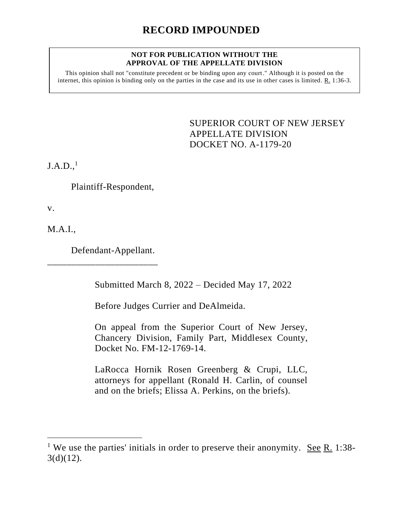### **NOT FOR PUBLICATION WITHOUT THE APPROVAL OF THE APPELLATE DIVISION**

This opinion shall not "constitute precedent or be binding upon any court." Although it is posted on the internet, this opinion is binding only on the parties in the case and its use in other cases is limited. R. 1:36-3.

> <span id="page-0-0"></span>SUPERIOR COURT OF NEW JERSEY APPELLATE DIVISION DOCKET NO. A-1179-20

 $J.A.D.,<sup>1</sup>$ 

Plaintiff-Respondent,

v.

M.A.I.,

Defendant-Appellant.

\_\_\_\_\_\_\_\_\_\_\_\_\_\_\_\_\_\_\_\_\_\_\_

Submitted March 8, 2022 – Decided May 17, 2022

Before Judges Currier and DeAlmeida.

On appeal from the Superior Court of New Jersey, Chancery Division, Family Part, Middlesex County, Docket No. FM-12-1769-14.

LaRocca Hornik Rosen Greenberg & Crupi, LLC, attorneys for appellant (Ronald H. Carlin, of counsel and on the briefs; Elissa A. Perkins, on the briefs).

<sup>&</sup>lt;sup>1</sup> We use the parties' initials in order to preserve their anonymity. See R. 1:38- $3(d)(12)$ .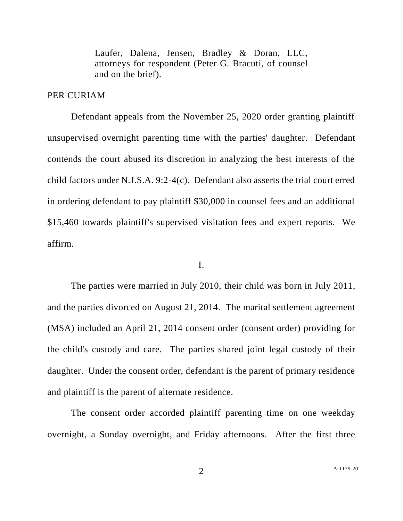Laufer, Dalena, Jensen, Bradley & Doran, LLC, attorneys for respondent (Peter G. Bracuti, of counsel and on the brief).

## PER CURIAM

Defendant appeals from the November 25, 2020 order granting plaintiff unsupervised overnight parenting time with the parties' daughter. Defendant contends the court abused its discretion in analyzing the best interests of the child factors under N.J.S.A. 9:2-4(c). Defendant also asserts the trial court erred in ordering defendant to pay plaintiff \$30,000 in counsel fees and an additional \$15,460 towards plaintiff's supervised visitation fees and expert reports. We affirm.

### I.

The parties were married in July 2010, their child was born in July 2011, and the parties divorced on August 21, 2014. The marital settlement agreement (MSA) included an April 21, 2014 consent order (consent order) providing for the child's custody and care. The parties shared joint legal custody of their daughter. Under the consent order, defendant is the parent of primary residence and plaintiff is the parent of alternate residence.

The consent order accorded plaintiff parenting time on one weekday overnight, a Sunday overnight, and Friday afternoons. After the first three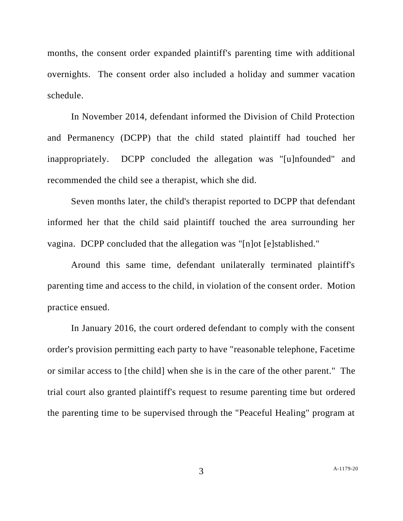months, the consent order expanded plaintiff's parenting time with additional overnights. The consent order also included a holiday and summer vacation schedule.

In November 2014, defendant informed the Division of Child Protection and Permanency (DCPP) that the child stated plaintiff had touched her inappropriately. DCPP concluded the allegation was "[u]nfounded" and recommended the child see a therapist, which she did.

Seven months later, the child's therapist reported to DCPP that defendant informed her that the child said plaintiff touched the area surrounding her vagina. DCPP concluded that the allegation was "[n]ot [e]stablished."

Around this same time, defendant unilaterally terminated plaintiff's parenting time and access to the child, in violation of the consent order. Motion practice ensued.

In January 2016, the court ordered defendant to comply with the consent order's provision permitting each party to have "reasonable telephone, Facetime or similar access to [the child] when she is in the care of the other parent." The trial court also granted plaintiff's request to resume parenting time but ordered the parenting time to be supervised through the "Peaceful Healing" program at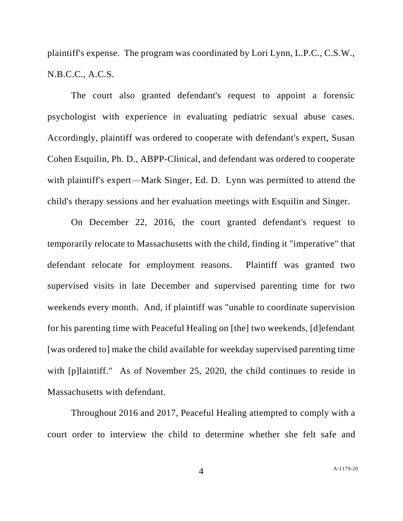plaintiff's expense. The program was coordinated by Lori Lynn, L.P.C., C.S.W., N.B.C.C., A.C.S.

The court also granted defendant's request to appoint a forensic psychologist with experience in evaluating pediatric sexual abuse cases. Accordingly, plaintiff was ordered to cooperate with defendant's expert, Susan Cohen Esquilin, Ph. D., ABPP-Clinical, and defendant was ordered to cooperate with plaintiff's expert—Mark Singer, Ed. D. Lynn was permitted to attend the child's therapy sessions and her evaluation meetings with Esquilin and Singer.

On December 22, 2016, the court granted defendant's request to temporarily relocate to Massachusetts with the child, finding it "imperative" that defendant relocate for employment reasons. Plaintiff was granted two supervised visits in late December and supervised parenting time for two weekends every month. And, if plaintiff was "unable to coordinate supervision for his parenting time with Peaceful Healing on [the] two weekends, [d]efendant [was ordered to] make the child available for weekday supervised parenting time with [p]laintiff." As of November 25, 2020, the child continues to reside in Massachusetts with defendant.

Throughout 2016 and 2017, Peaceful Healing attempted to comply with a court order to interview the child to determine whether she felt safe and

4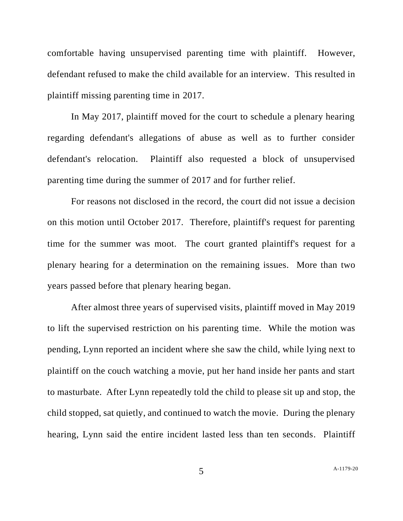comfortable having unsupervised parenting time with plaintiff. However, defendant refused to make the child available for an interview. This resulted in plaintiff missing parenting time in 2017.

In May 2017, plaintiff moved for the court to schedule a plenary hearing regarding defendant's allegations of abuse as well as to further consider defendant's relocation. Plaintiff also requested a block of unsupervised parenting time during the summer of 2017 and for further relief.

For reasons not disclosed in the record, the court did not issue a decision on this motion until October 2017. Therefore, plaintiff's request for parenting time for the summer was moot. The court granted plaintiff's request for a plenary hearing for a determination on the remaining issues. More than two years passed before that plenary hearing began.

After almost three years of supervised visits, plaintiff moved in May 2019 to lift the supervised restriction on his parenting time. While the motion was pending, Lynn reported an incident where she saw the child, while lying next to plaintiff on the couch watching a movie, put her hand inside her pants and start to masturbate. After Lynn repeatedly told the child to please sit up and stop, the child stopped, sat quietly, and continued to watch the movie. During the plenary hearing, Lynn said the entire incident lasted less than ten seconds. Plaintiff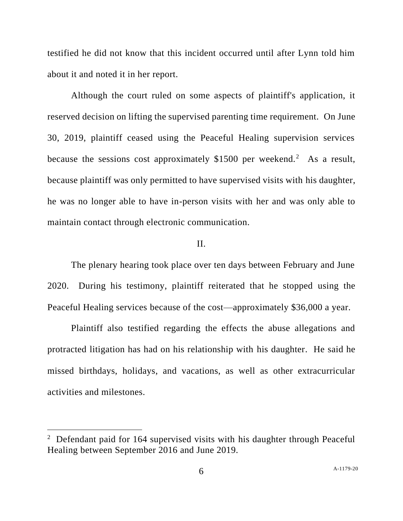testified he did not know that this incident occurred until after Lynn told him about it and noted it in her report.

Although the court ruled on some aspects of plaintiff's application, it reserved decision on lifting the supervised parenting time requirement. On June 30, 2019, plaintiff ceased using the Peaceful Healing supervision services because the sessions cost approximately  $$1500$  per weekend.<sup>2</sup> As a result, because plaintiff was only permitted to have supervised visits with his daughter, he was no longer able to have in-person visits with her and was only able to maintain contact through electronic communication.

# II.

The plenary hearing took place over ten days between February and June 2020. During his testimony, plaintiff reiterated that he stopped using the Peaceful Healing services because of the cost—approximately \$36,000 a year.

Plaintiff also testified regarding the effects the abuse allegations and protracted litigation has had on his relationship with his daughter. He said he missed birthdays, holidays, and vacations, as well as other extracurricular activities and milestones.

<sup>&</sup>lt;sup>2</sup> Defendant paid for 164 supervised visits with his daughter through Peaceful Healing between September 2016 and June 2019.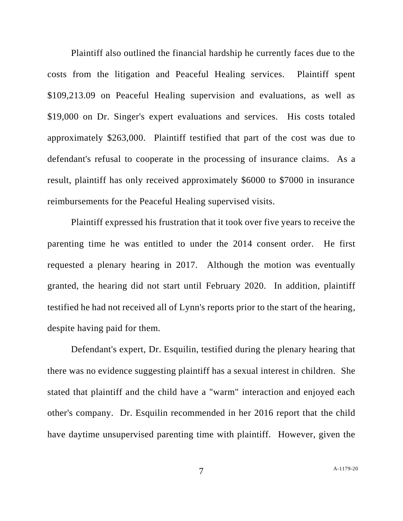Plaintiff also outlined the financial hardship he currently faces due to the costs from the litigation and Peaceful Healing services. Plaintiff spent \$109,213.09 on Peaceful Healing supervision and evaluations, as well as \$19,000 on Dr. Singer's expert evaluations and services. His costs totaled approximately \$263,000. Plaintiff testified that part of the cost was due to defendant's refusal to cooperate in the processing of insurance claims. As a result, plaintiff has only received approximately \$6000 to \$7000 in insurance reimbursements for the Peaceful Healing supervised visits.

Plaintiff expressed his frustration that it took over five years to receive the parenting time he was entitled to under the 2014 consent order. He first requested a plenary hearing in 2017. Although the motion was eventually granted, the hearing did not start until February 2020. In addition, plaintiff testified he had not received all of Lynn's reports prior to the start of the hearing, despite having paid for them.

Defendant's expert, Dr. Esquilin, testified during the plenary hearing that there was no evidence suggesting plaintiff has a sexual interest in children. She stated that plaintiff and the child have a "warm" interaction and enjoyed each other's company. Dr. Esquilin recommended in her 2016 report that the child have daytime unsupervised parenting time with plaintiff. However, given the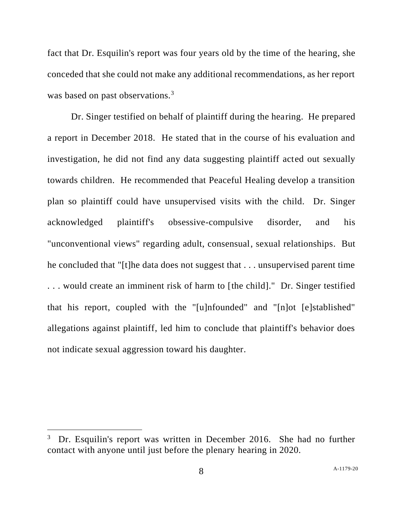fact that Dr. Esquilin's report was four years old by the time of the hearing, she conceded that she could not make any additional recommendations, as her report was based on past observations.<sup>3</sup>

Dr. Singer testified on behalf of plaintiff during the hearing. He prepared a report in December 2018. He stated that in the course of his evaluation and investigation, he did not find any data suggesting plaintiff acted out sexually towards children. He recommended that Peaceful Healing develop a transition plan so plaintiff could have unsupervised visits with the child. Dr. Singer acknowledged plaintiff's obsessive-compulsive disorder, and his "unconventional views" regarding adult, consensual, sexual relationships. But he concluded that "[t]he data does not suggest that . . . unsupervised parent time . . . would create an imminent risk of harm to [the child]." Dr. Singer testified that his report, coupled with the "[u]nfounded" and "[n]ot [e]stablished" allegations against plaintiff, led him to conclude that plaintiff's behavior does not indicate sexual aggression toward his daughter.

<sup>3</sup> Dr. Esquilin's report was written in December 2016. She had no further contact with anyone until just before the plenary hearing in 2020.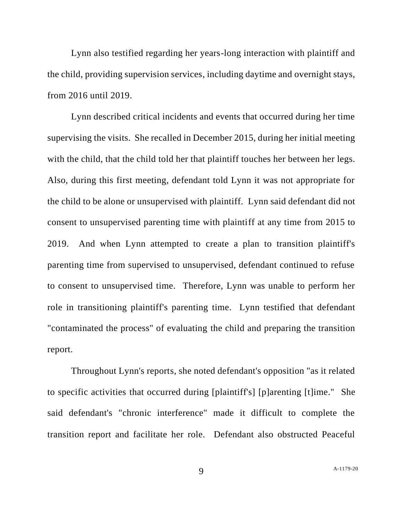Lynn also testified regarding her years-long interaction with plaintiff and the child, providing supervision services, including daytime and overnight stays, from 2016 until 2019.

Lynn described critical incidents and events that occurred during her time supervising the visits. She recalled in December 2015, during her initial meeting with the child, that the child told her that plaintiff touches her between her legs. Also, during this first meeting, defendant told Lynn it was not appropriate for the child to be alone or unsupervised with plaintiff. Lynn said defendant did not consent to unsupervised parenting time with plaintiff at any time from 2015 to 2019. And when Lynn attempted to create a plan to transition plaintiff's parenting time from supervised to unsupervised, defendant continued to refuse to consent to unsupervised time. Therefore, Lynn was unable to perform her role in transitioning plaintiff's parenting time. Lynn testified that defendant "contaminated the process" of evaluating the child and preparing the transition report.

Throughout Lynn's reports, she noted defendant's opposition "as it related to specific activities that occurred during [plaintiff's] [p]arenting [t]ime." She said defendant's "chronic interference" made it difficult to complete the transition report and facilitate her role. Defendant also obstructed Peaceful

9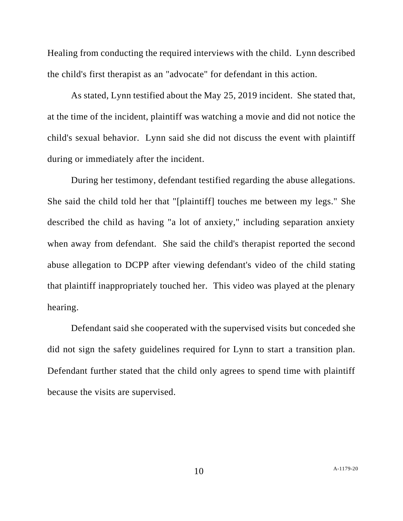Healing from conducting the required interviews with the child. Lynn described the child's first therapist as an "advocate" for defendant in this action.

As stated, Lynn testified about the May 25, 2019 incident. She stated that, at the time of the incident, plaintiff was watching a movie and did not notice the child's sexual behavior. Lynn said she did not discuss the event with plaintiff during or immediately after the incident.

During her testimony, defendant testified regarding the abuse allegations. She said the child told her that "[plaintiff] touches me between my legs." She described the child as having "a lot of anxiety," including separation anxiety when away from defendant. She said the child's therapist reported the second abuse allegation to DCPP after viewing defendant's video of the child stating that plaintiff inappropriately touched her. This video was played at the plenary hearing.

Defendant said she cooperated with the supervised visits but conceded she did not sign the safety guidelines required for Lynn to start a transition plan. Defendant further stated that the child only agrees to spend time with plaintiff because the visits are supervised.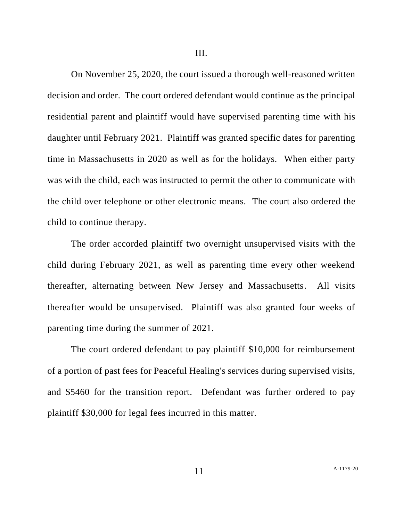On November 25, 2020, the court issued a thorough well-reasoned written decision and order. The court ordered defendant would continue as the principal residential parent and plaintiff would have supervised parenting time with his daughter until February 2021. Plaintiff was granted specific dates for parenting time in Massachusetts in 2020 as well as for the holidays. When either party was with the child, each was instructed to permit the other to communicate with the child over telephone or other electronic means. The court also ordered the child to continue therapy.

The order accorded plaintiff two overnight unsupervised visits with the child during February 2021, as well as parenting time every other weekend thereafter, alternating between New Jersey and Massachusetts. All visits thereafter would be unsupervised. Plaintiff was also granted four weeks of parenting time during the summer of 2021.

The court ordered defendant to pay plaintiff \$10,000 for reimbursement of a portion of past fees for Peaceful Healing's services during supervised visits, and \$5460 for the transition report. Defendant was further ordered to pay plaintiff \$30,000 for legal fees incurred in this matter.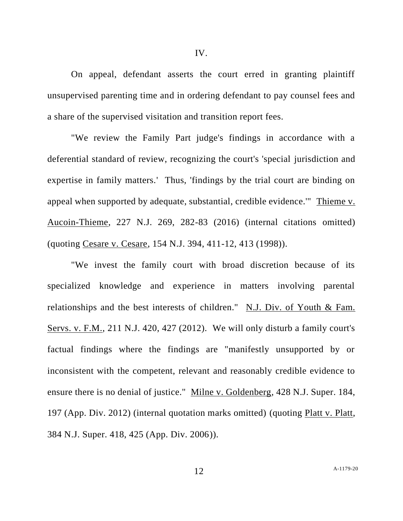On appeal, defendant asserts the court erred in granting plaintiff unsupervised parenting time and in ordering defendant to pay counsel fees and a share of the supervised visitation and transition report fees.

"We review the Family Part judge's findings in accordance with a deferential standard of review, recognizing the court's 'special jurisdiction and expertise in family matters.' Thus, 'findings by the trial court are binding on appeal when supported by adequate, substantial, credible evidence.'" Thieme v. Aucoin-Thieme, 227 N.J. 269, 282-83 (2016) (internal citations omitted) (quoting Cesare v. Cesare, 154 N.J. 394, 411-12, 413 (1998)).

"We invest the family court with broad discretion because of its specialized knowledge and experience in matters involving parental relationships and the best interests of children." N.J. Div. of Youth & Fam. Servs. v. F.M., 211 N.J. 420, 427 (2012). We will only disturb a family court's factual findings where the findings are "manifestly unsupported by or inconsistent with the competent, relevant and reasonably credible evidence to ensure there is no denial of justice." Milne v. Goldenberg, 428 N.J. Super. 184, 197 (App. Div. 2012) (internal quotation marks omitted) (quoting Platt v. Platt, 384 N.J. Super. 418, 425 (App. Div. 2006)).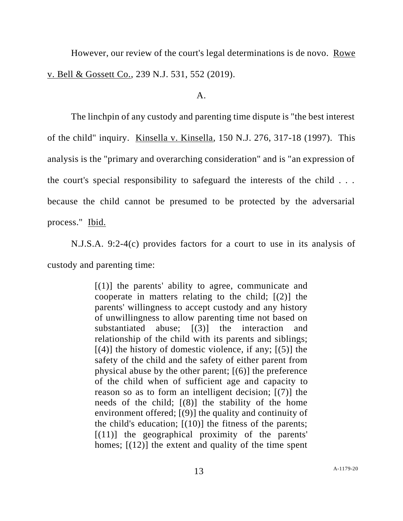However, our review of the court's legal determinations is de novo. Rowe v. Bell & Gossett Co., 239 N.J. 531, 552 (2019).

#### $A<sub>1</sub>$

The linchpin of any custody and parenting time dispute is "the best interest of the child" inquiry. Kinsella v. Kinsella, 150 N.J. 276, 317-18 (1997). This analysis is the "primary and overarching consideration" and is "an expression of the court's special responsibility to safeguard the interests of the child . . . because the child cannot be presumed to be protected by the adversarial process." Ibid.

N.J.S.A. 9:2-4(c) provides factors for a court to use in its analysis of custody and parenting time:

> $[(1)]$  the parents' ability to agree, communicate and cooperate in matters relating to the child; [(2)] the parents' willingness to accept custody and any history of unwillingness to allow parenting time not based on substantiated abuse; [(3)] the interaction and relationship of the child with its parents and siblings;  $[(4)]$  the history of domestic violence, if any;  $[(5)]$  the safety of the child and the safety of either parent from physical abuse by the other parent; [(6)] the preference of the child when of sufficient age and capacity to reason so as to form an intelligent decision; [(7)] the needs of the child;  $[(8)]$  the stability of the home environment offered; [(9)] the quality and continuity of the child's education;  $[(10)]$  the fitness of the parents;  $[(11)]$  the geographical proximity of the parents' homes;  $[(12)]$  the extent and quality of the time spent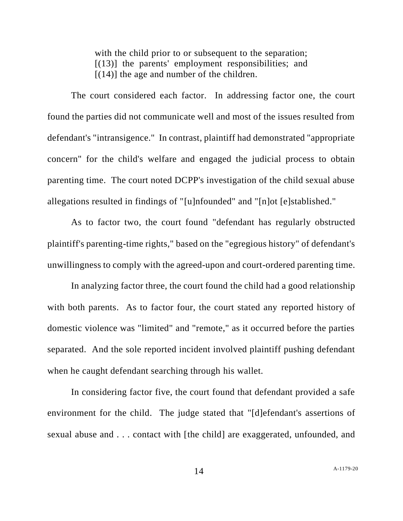with the child prior to or subsequent to the separation; [(13)] the parents' employment responsibilities; and  $[(14)]$  the age and number of the children.

The court considered each factor. In addressing factor one, the court found the parties did not communicate well and most of the issues resulted from defendant's "intransigence." In contrast, plaintiff had demonstrated "appropriate concern" for the child's welfare and engaged the judicial process to obtain parenting time. The court noted DCPP's investigation of the child sexual abuse allegations resulted in findings of "[u]nfounded" and "[n]ot [e]stablished."

As to factor two, the court found "defendant has regularly obstructed plaintiff's parenting-time rights," based on the "egregious history" of defendant's unwillingness to comply with the agreed-upon and court-ordered parenting time.

In analyzing factor three, the court found the child had a good relationship with both parents. As to factor four, the court stated any reported history of domestic violence was "limited" and "remote," as it occurred before the parties separated. And the sole reported incident involved plaintiff pushing defendant when he caught defendant searching through his wallet.

In considering factor five, the court found that defendant provided a safe environment for the child. The judge stated that "[d]efendant's assertions of sexual abuse and . . . contact with [the child] are exaggerated, unfounded, and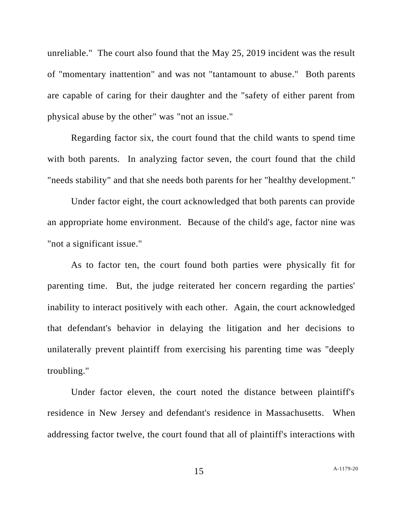unreliable." The court also found that the May 25, 2019 incident was the result of "momentary inattention" and was not "tantamount to abuse." Both parents are capable of caring for their daughter and the "safety of either parent from physical abuse by the other" was "not an issue."

Regarding factor six, the court found that the child wants to spend time with both parents. In analyzing factor seven, the court found that the child "needs stability" and that she needs both parents for her "healthy development."

Under factor eight, the court acknowledged that both parents can provide an appropriate home environment. Because of the child's age, factor nine was "not a significant issue."

As to factor ten, the court found both parties were physically fit for parenting time. But, the judge reiterated her concern regarding the parties' inability to interact positively with each other. Again, the court acknowledged that defendant's behavior in delaying the litigation and her decisions to unilaterally prevent plaintiff from exercising his parenting time was "deeply troubling."

Under factor eleven, the court noted the distance between plaintiff's residence in New Jersey and defendant's residence in Massachusetts. When addressing factor twelve, the court found that all of plaintiff's interactions with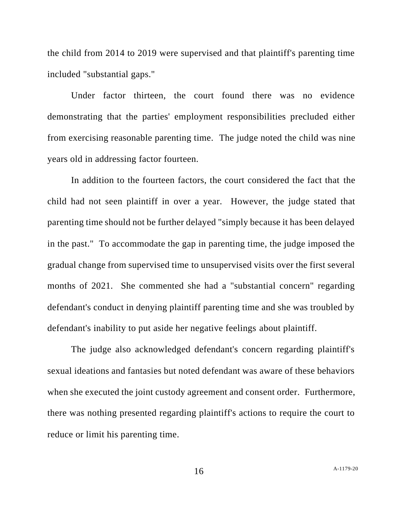the child from 2014 to 2019 were supervised and that plaintiff's parenting time included "substantial gaps."

Under factor thirteen, the court found there was no evidence demonstrating that the parties' employment responsibilities precluded either from exercising reasonable parenting time. The judge noted the child was nine years old in addressing factor fourteen.

In addition to the fourteen factors, the court considered the fact that the child had not seen plaintiff in over a year. However, the judge stated that parenting time should not be further delayed "simply because it has been delayed in the past." To accommodate the gap in parenting time, the judge imposed the gradual change from supervised time to unsupervised visits over the first several months of 2021. She commented she had a "substantial concern" regarding defendant's conduct in denying plaintiff parenting time and she was troubled by defendant's inability to put aside her negative feelings about plaintiff.

The judge also acknowledged defendant's concern regarding plaintiff's sexual ideations and fantasies but noted defendant was aware of these behaviors when she executed the joint custody agreement and consent order. Furthermore, there was nothing presented regarding plaintiff's actions to require the court to reduce or limit his parenting time.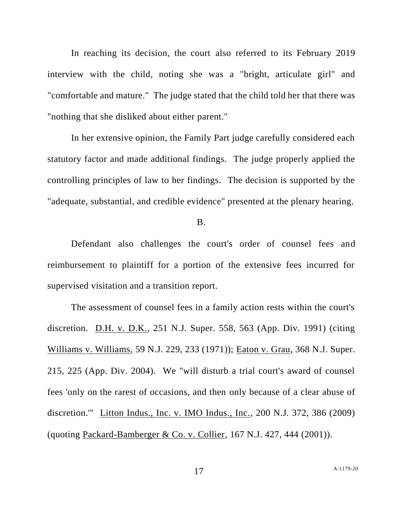In reaching its decision, the court also referred to its February 2019 interview with the child, noting she was a "bright, articulate girl" and "comfortable and mature." The judge stated that the child told her that there was "nothing that she disliked about either parent."

In her extensive opinion, the Family Part judge carefully considered each statutory factor and made additional findings. The judge properly applied the controlling principles of law to her findings. The decision is supported by the "adequate, substantial, and credible evidence" presented at the plenary hearing.

B.

Defendant also challenges the court's order of counsel fees and reimbursement to plaintiff for a portion of the extensive fees incurred for supervised visitation and a transition report.

The assessment of counsel fees in a family action rests within the court's discretion. D.H. v. D.K., 251 N.J. Super. 558, 563 (App. Div. 1991) (citing Williams v. Williams, 59 N.J. 229, 233 (1971)); Eaton v. Grau, 368 N.J. Super. 215, 225 (App. Div. 2004). We "will disturb a trial court's award of counsel fees 'only on the rarest of occasions, and then only because of a clear abuse of discretion.'" Litton Indus., Inc. v. IMO Indus., Inc., 200 N.J. 372, 386 (2009) (quoting Packard-Bamberger & Co. v. Collier, 167 N.J. 427, 444 (2001)).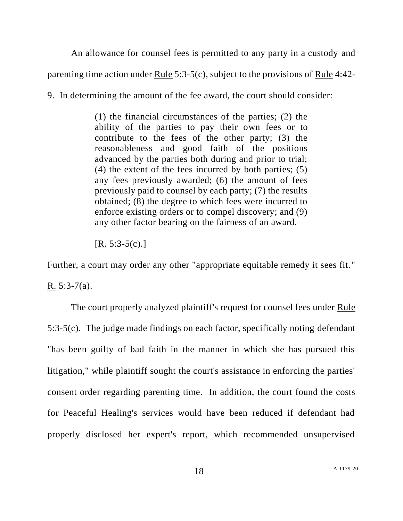An allowance for counsel fees is permitted to any party in a custody and

parenting time action under Rule 5:3-5(c), subject to the provisions of Rule 4:42-

9. In determining the amount of the fee award, the court should consider:

(1) the financial circumstances of the parties; (2) the ability of the parties to pay their own fees or to contribute to the fees of the other party; (3) the reasonableness and good faith of the positions advanced by the parties both during and prior to trial; (4) the extent of the fees incurred by both parties; (5) any fees previously awarded; (6) the amount of fees previously paid to counsel by each party; (7) the results obtained; (8) the degree to which fees were incurred to enforce existing orders or to compel discovery; and (9) any other factor bearing on the fairness of an award.

 $[R. 5:3-5(c).]$ 

Further, a court may order any other "appropriate equitable remedy it sees fit." R.  $5:3-7(a)$ .

The court properly analyzed plaintiff's request for counsel fees under Rule 5:3-5(c). The judge made findings on each factor, specifically noting defendant "has been guilty of bad faith in the manner in which she has pursued this litigation," while plaintiff sought the court's assistance in enforcing the parties' consent order regarding parenting time. In addition, the court found the costs for Peaceful Healing's services would have been reduced if defendant had properly disclosed her expert's report, which recommended unsupervised